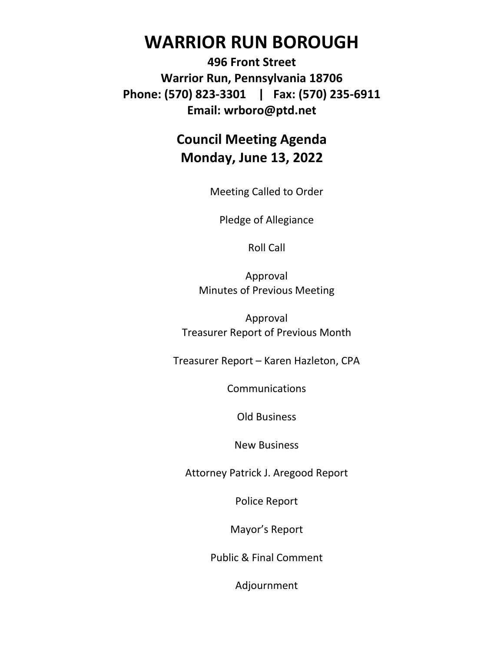# **WARRIOR RUN BOROUGH**

**496 Front Street Warrior Run, Pennsylvania 18706 Phone: (570) 823-3301 | Fax: (570) 235-6911 Email: wrboro@ptd.net**

## **Council Meeting Agenda Monday, June 13, 2022**

Meeting Called to Order

Pledge of Allegiance

Roll Call

Approval Minutes of Previous Meeting

Approval Treasurer Report of Previous Month

Treasurer Report – Karen Hazleton, CPA

**Communications** 

Old Business

New Business

Attorney Patrick J. Aregood Report

Police Report

Mayor's Report

Public & Final Comment

Adjournment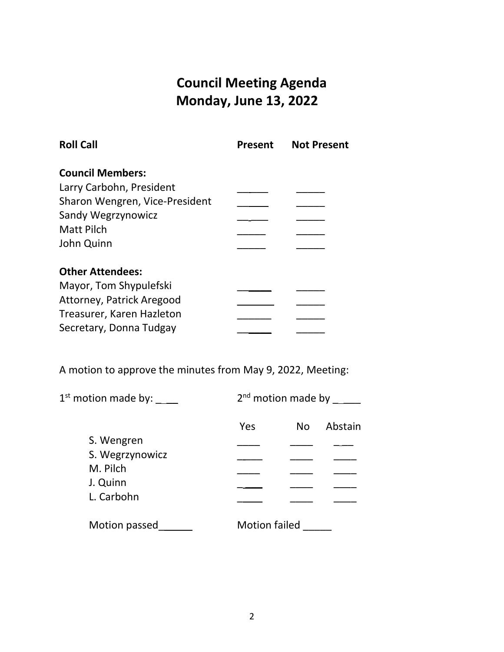## **Council Meeting Agenda Monday, June 13, 2022**

| <b>Roll Call</b>               | <b>Present</b> | <b>Not Present</b> |
|--------------------------------|----------------|--------------------|
| <b>Council Members:</b>        |                |                    |
| Larry Carbohn, President       |                |                    |
| Sharon Wengren, Vice-President |                |                    |
| Sandy Wegrzynowicz             |                |                    |
| <b>Matt Pilch</b>              |                |                    |
| John Quinn                     |                |                    |
| <b>Other Attendees:</b>        |                |                    |
| Mayor, Tom Shypulefski         |                |                    |
| Attorney, Patrick Aregood      |                |                    |
| Treasurer, Karen Hazleton      |                |                    |
| Secretary, Donna Tudgay        |                |                    |

A motion to approve the minutes from May 9, 2022, Meeting:

| 1 <sup>st</sup> motion made by: | 2 <sup>nd</sup> motion made by |         |
|---------------------------------|--------------------------------|---------|
|                                 | Yes<br>N <sub>o</sub>          | Abstain |
| S. Wengren                      |                                |         |
| S. Wegrzynowicz                 |                                |         |
| M. Pilch                        |                                |         |
| J. Quinn                        |                                |         |
| L. Carbohn                      |                                |         |
| Motion passed                   | <b>Motion failed</b>           |         |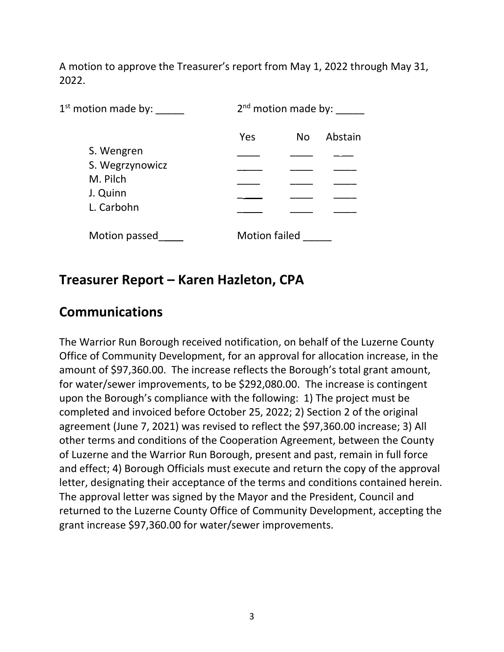A motion to approve the Treasurer's report from May 1, 2022 through May 31, 2022.

| $1st$ motion made by: |                      | 2 <sup>nd</sup> motion made by: |         |  |
|-----------------------|----------------------|---------------------------------|---------|--|
|                       | Yes                  | N <sub>o</sub>                  | Abstain |  |
| S. Wengren            |                      |                                 |         |  |
| S. Wegrzynowicz       |                      |                                 |         |  |
| M. Pilch              |                      |                                 |         |  |
| J. Quinn              |                      |                                 |         |  |
| L. Carbohn            |                      |                                 |         |  |
| Motion passed         | <b>Motion failed</b> |                                 |         |  |

#### **Treasurer Report – Karen Hazleton, CPA**

#### **Communications**

The Warrior Run Borough received notification, on behalf of the Luzerne County Office of Community Development, for an approval for allocation increase, in the amount of \$97,360.00. The increase reflects the Borough's total grant amount, for water/sewer improvements, to be \$292,080.00. The increase is contingent upon the Borough's compliance with the following: 1) The project must be completed and invoiced before October 25, 2022; 2) Section 2 of the original agreement (June 7, 2021) was revised to reflect the \$97,360.00 increase; 3) All other terms and conditions of the Cooperation Agreement, between the County of Luzerne and the Warrior Run Borough, present and past, remain in full force and effect; 4) Borough Officials must execute and return the copy of the approval letter, designating their acceptance of the terms and conditions contained herein. The approval letter was signed by the Mayor and the President, Council and returned to the Luzerne County Office of Community Development, accepting the grant increase \$97,360.00 for water/sewer improvements.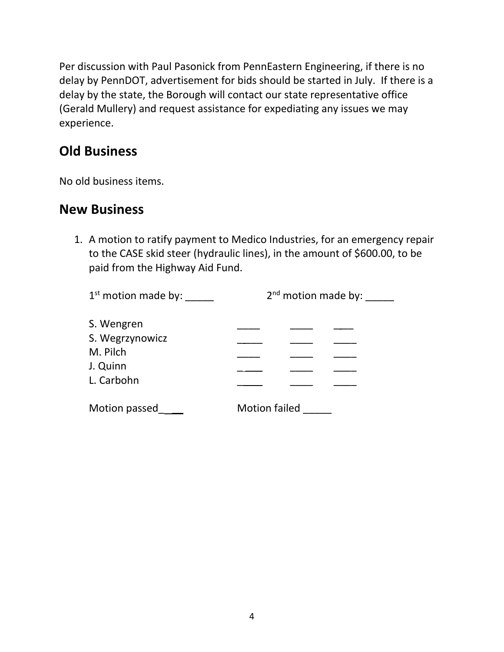Per discussion with Paul Pasonick from PennEastern Engineering, if there is no delay by PennDOT, advertisement for bids should be started in July. If there is a delay by the state, the Borough will contact our state representative office (Gerald Mullery) and request assistance for expediating any issues we may experience.

## **Old Business**

No old business items.

#### **New Business**

1. A motion to ratify payment to Medico Industries, for an emergency repair to the CASE skid steer (hydraulic lines), in the amount of \$600.00, to be paid from the Highway Aid Fund.

| 1 <sup>st</sup> motion made by:                                     | $2nd$ motion made by: |  |  |
|---------------------------------------------------------------------|-----------------------|--|--|
| S. Wengren<br>S. Wegrzynowicz<br>M. Pilch<br>J. Quinn<br>L. Carbohn |                       |  |  |
| Motion passed                                                       | <b>Motion failed</b>  |  |  |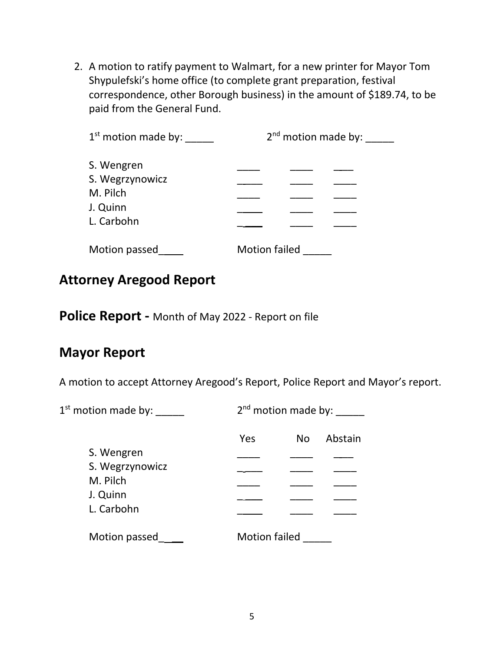2. A motion to ratify payment to Walmart, for a new printer for Mayor Tom Shypulefski's home office (to complete grant preparation, festival correspondence, other Borough business) in the amount of \$189.74, to be paid from the General Fund.

| $1st$ motion made by:                                               | $2nd$ motion made by: |  |  |
|---------------------------------------------------------------------|-----------------------|--|--|
| S. Wengren<br>S. Wegrzynowicz<br>M. Pilch<br>J. Quinn<br>L. Carbohn |                       |  |  |
| Motion passed                                                       | <b>Motion failed</b>  |  |  |

#### **Attorney Aregood Report**

**Police Report -** Month of May 2022 - Report on file

## **Mayor Report**

A motion to accept Attorney Aregood's Report, Police Report and Mayor's report.

| $1st$ motion made by: |                      | $2nd$ motion made by: |         |  |
|-----------------------|----------------------|-----------------------|---------|--|
|                       | Yes                  | N <sub>o</sub>        | Abstain |  |
| S. Wengren            |                      |                       |         |  |
| S. Wegrzynowicz       |                      |                       |         |  |
| M. Pilch              |                      |                       |         |  |
| J. Quinn              |                      |                       |         |  |
| L. Carbohn            |                      |                       |         |  |
| Motion passed         | <b>Motion failed</b> |                       |         |  |